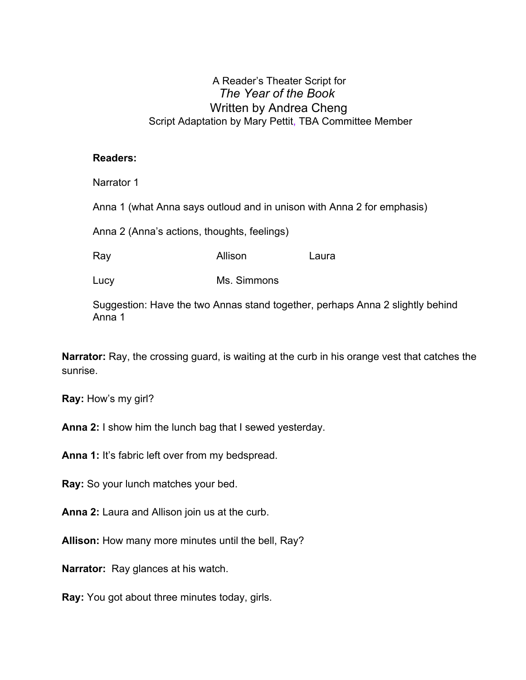## A Reader's Theater Script for *The Year of the Book* Written by Andrea Cheng Script Adaptation by Mary Pettit, TBA Committee Member

## **Readers:**

Narrator 1

Anna 1 (what Anna says outloud and in unison with Anna 2 for emphasis)

Anna 2 (Anna's actions, thoughts, feelings)

Ray **Allison** Laura

Lucy Ms. Simmons

Suggestion: Have the two Annas stand together, perhaps Anna 2 slightly behind Anna 1

**Narrator:** Ray, the crossing guard, is waiting at the curb in his orange vest that catches the sunrise.

**Ray:** How's my girl?

**Anna 2:** I show him the lunch bag that I sewed yesterday.

**Anna 1:** It's fabric left over from my bedspread.

**Ray:** So your lunch matches your bed.

**Anna 2:** Laura and Allison join us at the curb.

**Allison:** How many more minutes until the bell, Ray?

**Narrator:** Ray glances at his watch.

**Ray:** You got about three minutes today, girls.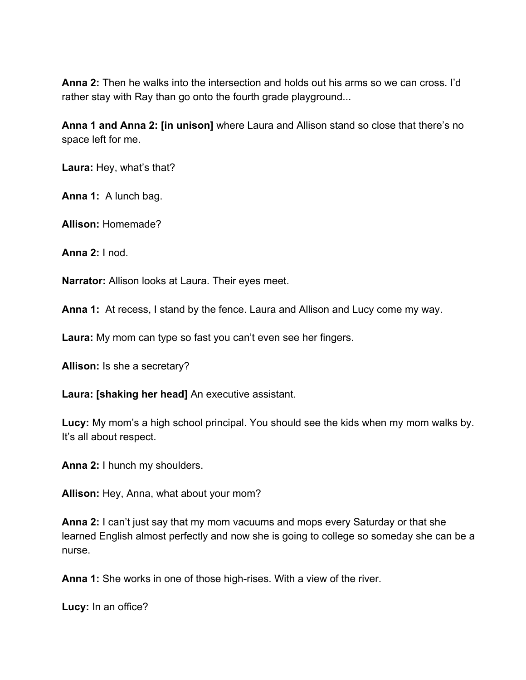**Anna 2:** Then he walks into the intersection and holds out his arms so we can cross. I'd rather stay with Ray than go onto the fourth grade playground...

**Anna 1 and Anna 2: [in unison]** where Laura and Allison stand so close that there's no space left for me.

**Laura:** Hey, what's that?

**Anna 1:** A lunch bag.

**Allison:** Homemade?

**Anna 2:** I nod.

**Narrator:** Allison looks at Laura. Their eyes meet.

**Anna 1:** At recess, I stand by the fence. Laura and Allison and Lucy come my way.

**Laura:** My mom can type so fast you can't even see her fingers.

**Allison:** Is she a secretary?

**Laura: [shaking her head]** An executive assistant.

**Lucy:** My mom's a high school principal. You should see the kids when my mom walks by. It's all about respect.

**Anna 2:** I hunch my shoulders.

**Allison:** Hey, Anna, what about your mom?

**Anna 2:** I can't just say that my mom vacuums and mops every Saturday or that she learned English almost perfectly and now she is going to college so someday she can be a nurse.

**Anna 1:** She works in one of those high-rises. With a view of the river.

**Lucy:** In an office?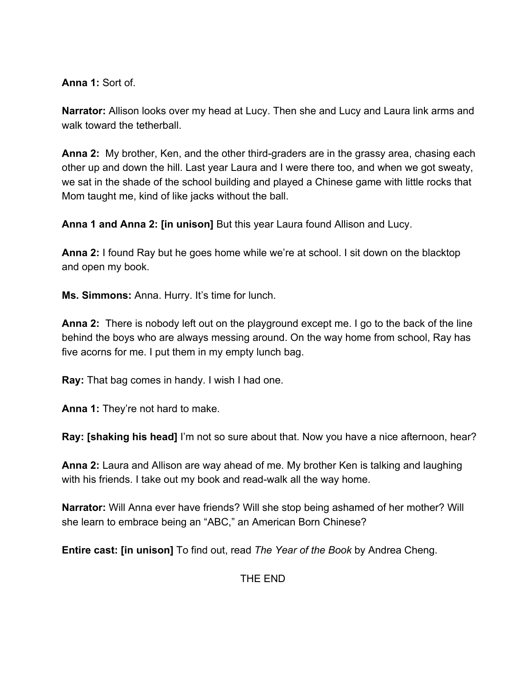**Anna 1:** Sort of.

**Narrator:** Allison looks over my head at Lucy. Then she and Lucy and Laura link arms and walk toward the tetherball.

**Anna 2:** My brother, Ken, and the other third-graders are in the grassy area, chasing each other up and down the hill. Last year Laura and I were there too, and when we got sweaty, we sat in the shade of the school building and played a Chinese game with little rocks that Mom taught me, kind of like jacks without the ball.

**Anna 1 and Anna 2: [in unison]** But this year Laura found Allison and Lucy.

**Anna 2:** I found Ray but he goes home while we're at school. I sit down on the blacktop and open my book.

**Ms. Simmons:** Anna. Hurry. It's time for lunch.

**Anna 2:** There is nobody left out on the playground except me. I go to the back of the line behind the boys who are always messing around. On the way home from school, Ray has five acorns for me. I put them in my empty lunch bag.

**Ray:** That bag comes in handy. I wish I had one.

**Anna 1:** They're not hard to make.

**Ray: [shaking his head]** I'm not so sure about that. Now you have a nice afternoon, hear?

**Anna 2:** Laura and Allison are way ahead of me. My brother Ken is talking and laughing with his friends. I take out my book and read-walk all the way home.

**Narrator:** Will Anna ever have friends? Will she stop being ashamed of her mother? Will she learn to embrace being an "ABC," an American Born Chinese?

**Entire cast: [in unison]** To find out, read *The Year of the Book* by Andrea Cheng.

THE END